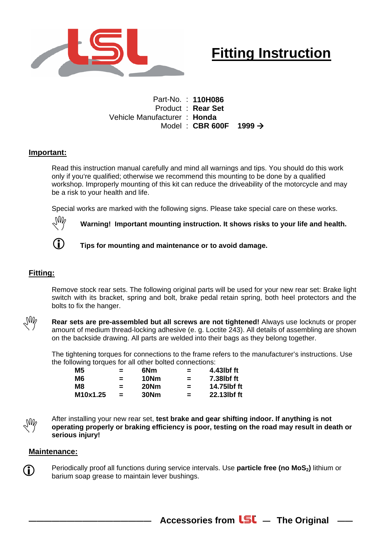

## **Fitting Instruction**

Part-No. : **110H086**  Product : **Rear Set**  Vehicle Manufacturer : **Honda**  Model : CBR 600F 1999  $\rightarrow$ 

## **Important:**

Read this instruction manual carefully and mind all warnings and tips. You should do this work only if you're qualified; otherwise we recommend this mounting to be done by a qualified workshop. Improperly mounting of this kit can reduce the driveability of the motorcycle and may be a risk to your health and life.

Special works are marked with the following signs. Please take special care on these works.



 $\sqrt[3]{\mathbb{W}}$  Warning! Important mounting instruction. It shows risks to your life and health.



**(i)** Tips for mounting and maintenance or to avoid damage.

## **Fitting:**

Remove stock rear sets. The following original parts will be used for your new rear set: Brake light switch with its bracket, spring and bolt, brake pedal retain spring, both heel protectors and the bolts to fix the hanger.



Rear sets are pre-assembled but all screws are not tightened! Always use locknuts or proper amount of medium thread-locking adhesive (e. g. Loctite 243). All details of assembling are shown on the backside drawing. All parts are welded into their bags as they belong together.

The tightening torques for connections to the frame refers to the manufacturer's instructions. Use the following torques for all other bolted connections:

| M5       | $=$ | 6Nm  | $=$      | 4.43lbf ft  |
|----------|-----|------|----------|-------------|
| M6       | $=$ | 10Nm | $=$      | 7.38lbf ft  |
| M8       | $=$ | 20Nm | $\equiv$ | 14.75lbf ft |
| M10x1.25 | $=$ | 30Nm | $=$      | 22.13lbf ft |

After installing your new rear set, **test brake and gear shifting indoor. If anything is not operating properly or braking efficiency is poor, testing on the road may result in death or** 1 **serious injury!** 

## **Maintenance:**

**C** Periodically proof all functions during service intervals. Use **particle free (no MoS**<sub>2</sub>) lithium or barium soap grease to maintain lever bushings.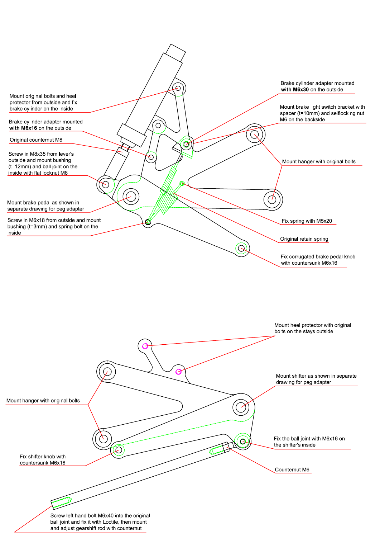